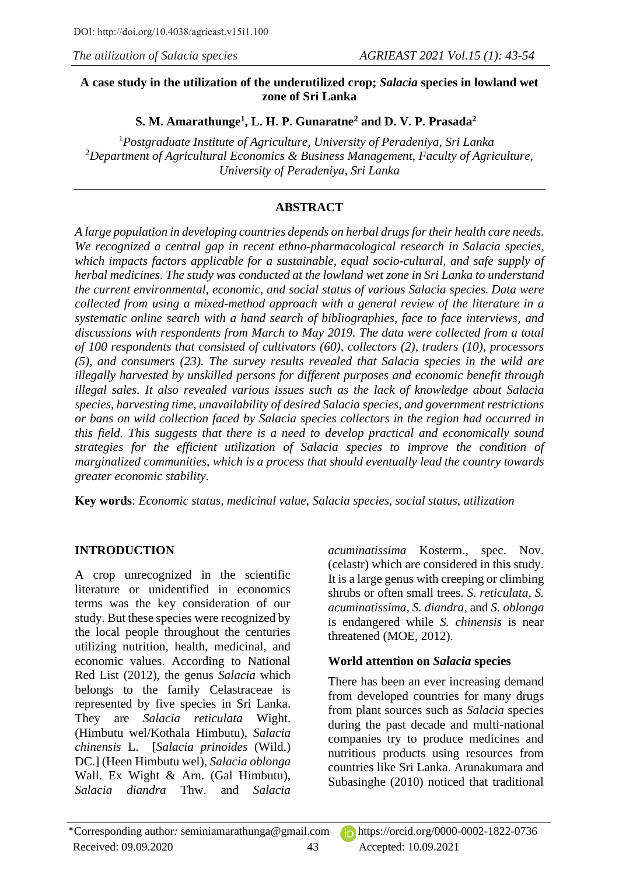### **A case study in the utilization of the underutilized crop;** *Salacia* **species in lowland wet zone of Sri Lanka**

# **S. M. Amarathunge<sup>1</sup> , L. H. P. Gunaratne<sup>2</sup> and D. V. P. Prasada<sup>2</sup>**

<sup>1</sup>*Postgraduate Institute of Agriculture, University of Peradeniya, Sri Lanka* <sup>2</sup>*Department of Agricultural Economics & Business Management, Faculty of Agriculture, University of Peradeniya, Sri Lanka*

# **ABSTRACT**

*A large population in developing countries depends on herbal drugs for their health care needs. We recognized a central gap in recent ethno-pharmacological research in Salacia species, which impacts factors applicable for a sustainable, equal socio-cultural, and safe supply of herbal medicines. The study was conducted at the lowland wet zone in Sri Lanka to understand the current environmental, economic, and social status of various Salacia species. Data were collected from using a mixed-method approach with a general review of the literature in a systematic online search with a hand search of bibliographies, face to face interviews, and discussions with respondents from March to May 2019. The data were collected from a total of 100 respondents that consisted of cultivators (60), collectors (2), traders (10), processors (5), and consumers (23). The survey results revealed that Salacia species in the wild are illegally harvested by unskilled persons for different purposes and economic benefit through illegal sales. It also revealed various issues such as the lack of knowledge about Salacia species, harvesting time, unavailability of desired Salacia species, and government restrictions or bans on wild collection faced by Salacia species collectors in the region had occurred in this field. This suggests that there is a need to develop practical and economically sound strategies for the efficient utilization of Salacia species to improve the condition of marginalized communities, which is a process that should eventually lead the country towards greater economic stability.*

**Key words**: *Economic status, medicinal value, Salacia species*, *social status, utilization*

# **INTRODUCTION**

A crop unrecognized in the scientific literature or unidentified in economics terms was the key consideration of our study. But these species were recognized by the local people throughout the centuries utilizing nutrition, health, medicinal, and economic values. According to National Red List (2012), the genus *Salacia* which belongs to the family Celastraceae is represented by five species in Sri Lanka. They are *Salacia reticulata* Wight. (Himbutu wel/Kothala Himbutu), *Salacia chinensis* L. [*Salacia prinoides* (Wild.) DC.] (Heen Himbutu wel), *Salacia oblonga*  Wall. Ex Wight & Arn. (Gal Himbutu), *Salacia diandra* Thw. and *Salacia* 

*acuminatissima* Kosterm., spec. Nov. (celastr) which are considered in this study. It is a large genus with creeping or climbing shrubs or often small trees. *S. reticulata, S. acuminatissima, S. diandra,* and *S. oblonga* is endangered while *S. chinensis* is near threatened (MOE, 2012).

# **World attention on** *Salacia* **species**

There has been an ever increasing demand from developed countries for many drugs from plant sources such as *Salacia* species during the past decade and multi-national companies try to produce medicines and nutritious products using resources from countries like Sri Lanka. Arunakumara and Subasinghe (2010) noticed that traditional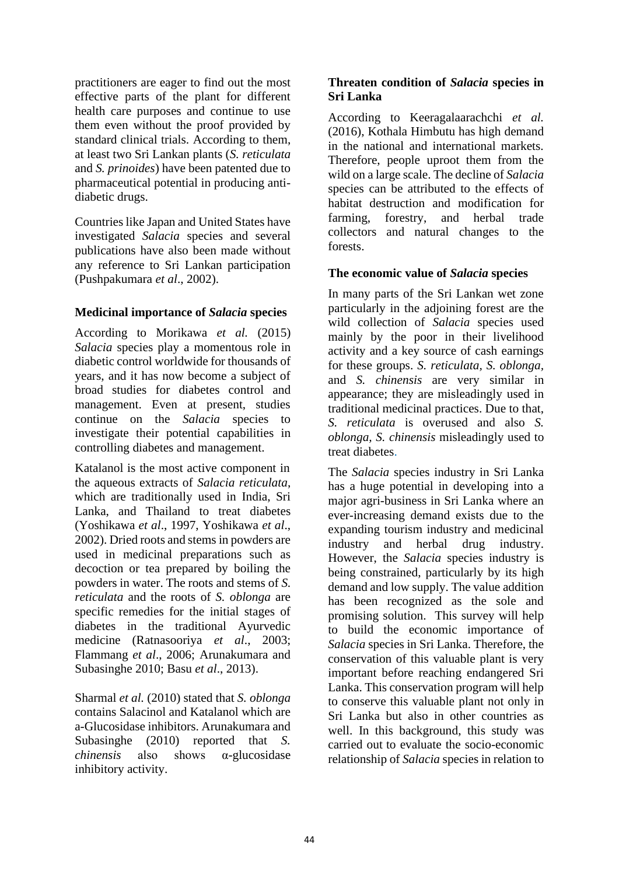practitioners are eager to find out the most effective parts of the plant for different health care purposes and continue to use them even without the proof provided by standard clinical trials. According to them, at least two Sri Lankan plants (*S. reticulata* and *S. prinoides*) have been patented due to pharmaceutical potential in producing antidiabetic drugs.

Countries like Japan and United States have investigated *Salacia* species and several publications have also been made without any reference to Sri Lankan participation (Pushpakumara *et al*., 2002).

### **Medicinal importance of** *Salacia* **species**

According to Morikawa *et al.* (2015) *Salacia* species play a momentous role in diabetic control worldwide for thousands of years, and it has now become a subject of broad studies for diabetes control and management. Even at present, studies continue on the *Salacia* species to investigate their potential capabilities in controlling diabetes and management.

Katalanol is the most active component in the aqueous extracts of *Salacia reticulata*, which are traditionally used in India, Sri Lanka, and Thailand to treat diabetes (Yoshikawa *et al*., 1997, Yoshikawa *et al*., 2002). Dried roots and stems in powders are used in medicinal preparations such as decoction or tea prepared by boiling the powders in water. The roots and stems of *S. reticulata* and the roots of *S. oblonga* are specific remedies for the initial stages of diabetes in the traditional Ayurvedic medicine (Ratnasooriya *et al*., 2003; Flammang *et al*., 2006; Arunakumara and Subasinghe 2010; Basu *et al*., 2013).

Sharmal *et al.* (2010) stated that *S. oblonga*  contains Salacinol and Katalanol which are a-Glucosidase inhibitors. Arunakumara and Subasinghe (2010) reported that *S. chinensis* also shows α-glucosidase inhibitory activity.

### **Threaten condition of** *Salacia* **species in Sri Lanka**

According to Keeragalaarachchi *et al.* (2016), Kothala Himbutu has high demand in the national and international markets. Therefore, people uproot them from the wild on a large scale. The decline of *Salacia* species can be attributed to the effects of habitat destruction and modification for farming, forestry, and herbal trade collectors and natural changes to the forests.

## **The economic value of** *Salacia* **species**

In many parts of the Sri Lankan wet zone particularly in the adjoining forest are the wild collection of *Salacia* species used mainly by the poor in their livelihood activity and a key source of cash earnings for these groups. *S. reticulata, S. oblonga,* and *S. chinensis* are very similar in appearance; they are misleadingly used in traditional medicinal practices. Due to that, *S. reticulata* is overused and also *S. oblonga, S. chinensis* misleadingly used to treat diabetes.

The *Salacia* species industry in Sri Lanka has a huge potential in developing into a major agri-business in Sri Lanka where an ever-increasing demand exists due to the expanding tourism industry and medicinal industry and herbal drug industry. However, the *Salacia* species industry is being constrained, particularly by its high demand and low supply. The value addition has been recognized as the sole and promising solution. This survey will help to build the economic importance of *Salacia* species in Sri Lanka. Therefore, the conservation of this valuable plant is very important before reaching endangered Sri Lanka. This conservation program will help to conserve this valuable plant not only in Sri Lanka but also in other countries as well. In this background, this study was carried out to evaluate the socio-economic relationship of *Salacia* species in relation to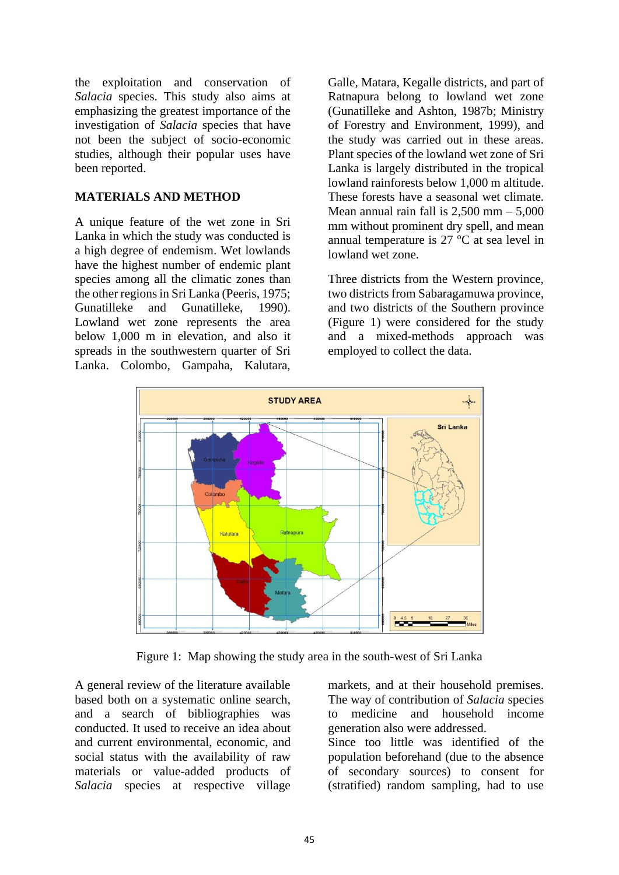the exploitation and conservation of *Salacia* species. This study also aims at emphasizing the greatest importance of the investigation of *Salacia* species that have not been the subject of socio-economic studies, although their popular uses have been reported.

### **MATERIALS AND METHOD**

A unique feature of the wet zone in Sri Lanka in which the study was conducted is a high degree of endemism. Wet lowlands have the highest number of endemic plant species among all the climatic zones than the other regions in Sri Lanka (Peeris, 1975; Gunatilleke and Gunatilleke, 1990). Lowland wet zone represents the area below 1,000 m in elevation, and also it spreads in the southwestern quarter of Sri Lanka. Colombo, Gampaha, Kalutara,

Galle, Matara, Kegalle districts, and part of Ratnapura belong to lowland wet zone (Gunatilleke and Ashton, 1987b; Ministry of Forestry and Environment, 1999), and the study was carried out in these areas. Plant species of the lowland wet zone of Sri Lanka is largely distributed in the tropical lowland rainforests below 1,000 m altitude. These forests have a seasonal wet climate. Mean annual rain fall is  $2,500$  mm  $-5,000$ mm without prominent dry spell, and mean annual temperature is  $27 \degree C$  at sea level in lowland wet zone.

Three districts from the Western province, two districts from Sabaragamuwa province, and two districts of the Southern province (Figure 1) were considered for the study and a mixed-methods approach was employed to collect the data.



Figure 1: Map showing the study area in the south-west of Sri Lanka

A general review of the literature available based both on a systematic online search, and a search of bibliographies was conducted. It used to receive an idea about and current environmental, economic, and social status with the availability of raw materials or value-added products of *Salacia* species at respective village markets, and at their household premises. The way of contribution of *Salacia* species to medicine and household income generation also were addressed.

Since too little was identified of the population beforehand (due to the absence of secondary sources) to consent for (stratified) random sampling, had to use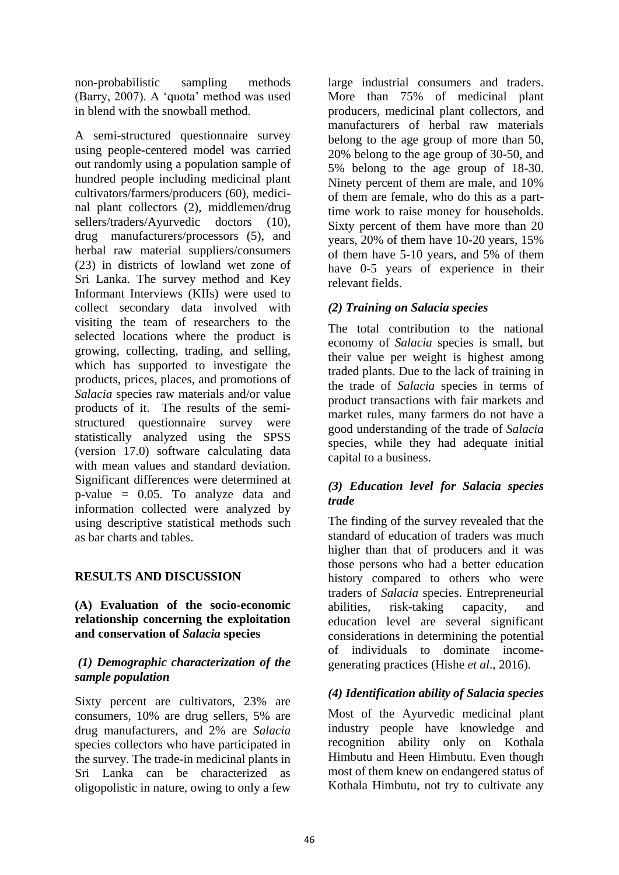non-probabilistic sampling methods (Barry, 2007). A 'quota' method was used in blend with the snowball method.

A semi-structured questionnaire survey using people-centered model was carried out randomly using a population sample of hundred people including medicinal plant cultivators/farmers/producers (60), medicinal plant collectors (2), middlemen/drug sellers/traders/Ayurvedic doctors (10), drug manufacturers/processors (5), and herbal raw material suppliers/consumers (23) in districts of lowland wet zone of Sri Lanka. The survey method and Key Informant Interviews (KIIs) were used to collect secondary data involved with visiting the team of researchers to the selected locations where the product is growing, collecting, trading, and selling, which has supported to investigate the products, prices, places, and promotions of *Salacia* species raw materials and/or value products of it. The results of the semistructured questionnaire survey were statistically analyzed using the SPSS (version 17.0) software calculating data with mean values and standard deviation. Significant differences were determined at p-value = 0.05. To analyze data and information collected were analyzed by using descriptive statistical methods such as bar charts and tables.

# **RESULTS AND DISCUSSION**

### **(A) Evaluation of the socio-economic relationship concerning the exploitation and conservation of** *Salacia* **species**

### *(1) Demographic characterization of the sample population*

Sixty percent are cultivators, 23% are consumers, 10% are drug sellers, 5% are drug manufacturers, and 2% are *Salacia* species collectors who have participated in the survey. The trade-in medicinal plants in Sri Lanka can be characterized as oligopolistic in nature, owing to only a few

large industrial consumers and traders. More than 75% of medicinal plant producers, medicinal plant collectors, and manufacturers of herbal raw materials belong to the age group of more than 50, 20% belong to the age group of 30-50, and 5% belong to the age group of 18-30. Ninety percent of them are male, and 10% of them are female, who do this as a parttime work to raise money for households. Sixty percent of them have more than 20 years, 20% of them have 10-20 years, 15% of them have 5-10 years, and 5% of them have 0-5 years of experience in their relevant fields.

# *(2) Training on Salacia species*

The total contribution to the national economy of *Salacia* species is small, but their value per weight is highest among traded plants. Due to the lack of training in the trade of *Salacia* species in terms of product transactions with fair markets and market rules, many farmers do not have a good understanding of the trade of *Salacia* species, while they had adequate initial capital to a business.

## *(3) Education level for Salacia species trade*

The finding of the survey revealed that the standard of education of traders was much higher than that of producers and it was those persons who had a better education history compared to others who were traders of *Salacia* species. Entrepreneurial abilities, risk-taking capacity, and education level are several significant considerations in determining the potential of individuals to dominate incomegenerating practices (Hishe *et al*., 2016).

# *(4) Identification ability of Salacia species*

Most of the Ayurvedic medicinal plant industry people have knowledge and recognition ability only on Kothala Himbutu and Heen Himbutu. Even though most of them knew on endangered status of Kothala Himbutu, not try to cultivate any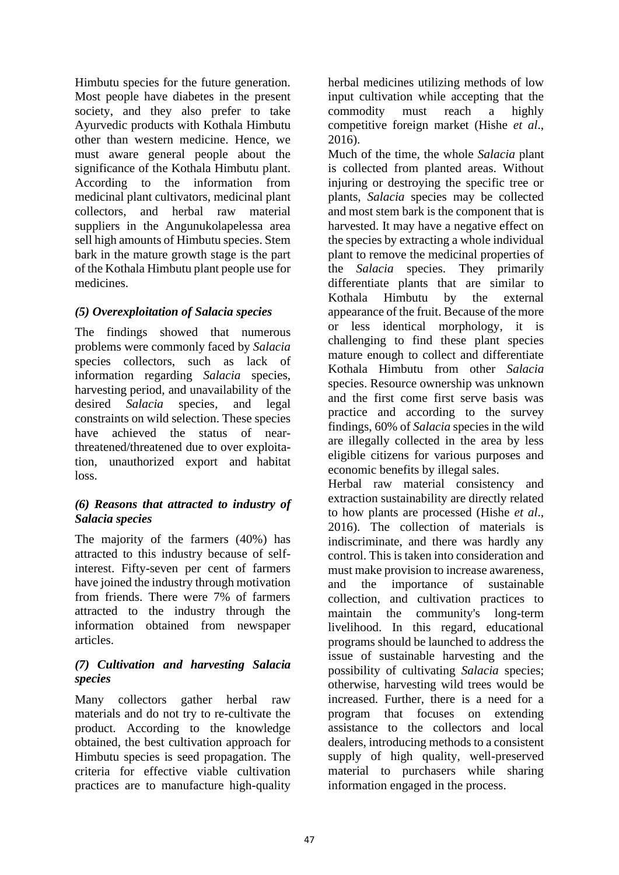Himbutu species for the future generation. Most people have diabetes in the present society, and they also prefer to take Ayurvedic products with Kothala Himbutu other than western medicine. Hence, we must aware general people about the significance of the Kothala Himbutu plant. According to the information from medicinal plant cultivators, medicinal plant collectors, and herbal raw material suppliers in the Angunukolapelessa area sell high amounts of Himbutu species. Stem bark in the mature growth stage is the part of the Kothala Himbutu plant people use for medicines.

# *(5) Overexploitation of Salacia species*

The findings showed that numerous problems were commonly faced by *Salacia* species collectors, such as lack of information regarding *Salacia* species, harvesting period, and unavailability of the desired *Salacia* species, and legal constraints on wild selection. These species have achieved the status of nearthreatened/threatened due to over exploitation, unauthorized export and habitat loss.

## *(6) Reasons that attracted to industry of Salacia species*

The majority of the farmers (40%) has attracted to this industry because of selfinterest. Fifty-seven per cent of farmers have joined the industry through motivation from friends. There were 7% of farmers attracted to the industry through the information obtained from newspaper articles.

## *(7) Cultivation and harvesting Salacia species*

Many collectors gather herbal raw materials and do not try to re-cultivate the product. According to the knowledge obtained, the best cultivation approach for Himbutu species is seed propagation. The criteria for effective viable cultivation practices are to manufacture high-quality

herbal medicines utilizing methods of low input cultivation while accepting that the commodity must reach a highly competitive foreign market (Hishe *et al*., 2016).

Much of the time, the whole *Salacia* plant is collected from planted areas. Without injuring or destroying the specific tree or plants, *Salacia* species may be collected and most stem bark is the component that is harvested. It may have a negative effect on the species by extracting a whole individual plant to remove the medicinal properties of the *Salacia* species. They primarily differentiate plants that are similar to Kothala Himbutu by the external appearance of the fruit. Because of the more or less identical morphology, it is challenging to find these plant species mature enough to collect and differentiate Kothala Himbutu from other *Salacia*  species. Resource ownership was unknown and the first come first serve basis was practice and according to the survey findings, 60% of *Salacia* species in the wild are illegally collected in the area by less eligible citizens for various purposes and economic benefits by illegal sales.

Herbal raw material consistency and extraction sustainability are directly related to how plants are processed (Hishe *et al*., 2016). The collection of materials is indiscriminate, and there was hardly any control. This is taken into consideration and must make provision to increase awareness, and the importance of sustainable collection, and cultivation practices to maintain the community's long-term livelihood. In this regard, educational programs should be launched to address the issue of sustainable harvesting and the possibility of cultivating *Salacia* species; otherwise, harvesting wild trees would be increased. Further, there is a need for a program that focuses on extending assistance to the collectors and local dealers, introducing methods to a consistent supply of high quality, well-preserved material to purchasers while sharing information engaged in the process.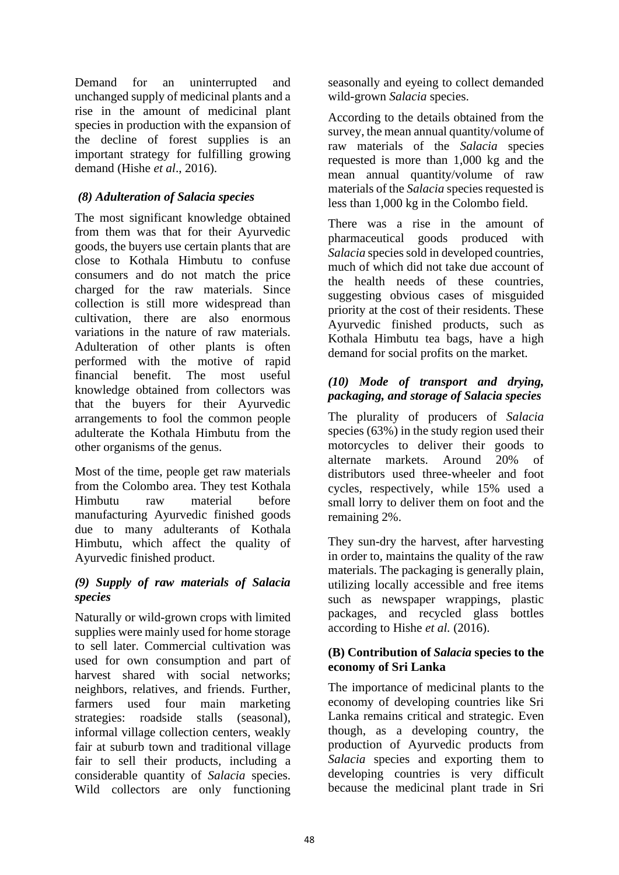Demand for an uninterrupted and unchanged supply of medicinal plants and a rise in the amount of medicinal plant species in production with the expansion of the decline of forest supplies is an important strategy for fulfilling growing demand (Hishe *et al*., 2016).

## *(8) Adulteration of Salacia species*

The most significant knowledge obtained from them was that for their Ayurvedic goods, the buyers use certain plants that are close to Kothala Himbutu to confuse consumers and do not match the price charged for the raw materials. Since collection is still more widespread than cultivation, there are also enormous variations in the nature of raw materials. Adulteration of other plants is often performed with the motive of rapid financial benefit. The most useful knowledge obtained from collectors was that the buyers for their Ayurvedic arrangements to fool the common people adulterate the Kothala Himbutu from the other organisms of the genus.

Most of the time, people get raw materials from the Colombo area. They test Kothala Himbutu raw material before manufacturing Ayurvedic finished goods due to many adulterants of Kothala Himbutu, which affect the quality of Ayurvedic finished product.

### *(9) Supply of raw materials of Salacia species*

Naturally or wild-grown crops with limited supplies were mainly used for home storage to sell later. Commercial cultivation was used for own consumption and part of harvest shared with social networks; neighbors, relatives, and friends. Further, farmers used four main marketing strategies: roadside stalls (seasonal), informal village collection centers, weakly fair at suburb town and traditional village fair to sell their products, including a considerable quantity of *Salacia* species. Wild collectors are only functioning seasonally and eyeing to collect demanded wild-grown *Salacia* species.

According to the details obtained from the survey, the mean annual quantity/volume of raw materials of the *Salacia* species requested is more than 1,000 kg and the mean annual quantity/volume of raw materials of the *Salacia* species requested is less than 1,000 kg in the Colombo field.

There was a rise in the amount of pharmaceutical goods produced with *Salacia* species sold in developed countries, much of which did not take due account of the health needs of these countries, suggesting obvious cases of misguided priority at the cost of their residents. These Ayurvedic finished products, such as Kothala Himbutu tea bags, have a high demand for social profits on the market.

## *(10) Mode of transport and drying, packaging, and storage of Salacia species*

The plurality of producers of *Salacia* species (63%) in the study region used their motorcycles to deliver their goods to alternate markets. Around 20% of distributors used three-wheeler and foot cycles, respectively, while 15% used a small lorry to deliver them on foot and the remaining 2%.

They sun-dry the harvest, after harvesting in order to, maintains the quality of the raw materials. The packaging is generally plain, utilizing locally accessible and free items such as newspaper wrappings, plastic packages, and recycled glass bottles according to Hishe *et al.* (2016).

### **(B) Contribution of** *Salacia* **species to the economy of Sri Lanka**

The importance of medicinal plants to the economy of developing countries like Sri Lanka remains critical and strategic. Even though, as a developing country, the production of Ayurvedic products from *Salacia* species and exporting them to developing countries is very difficult because the medicinal plant trade in Sri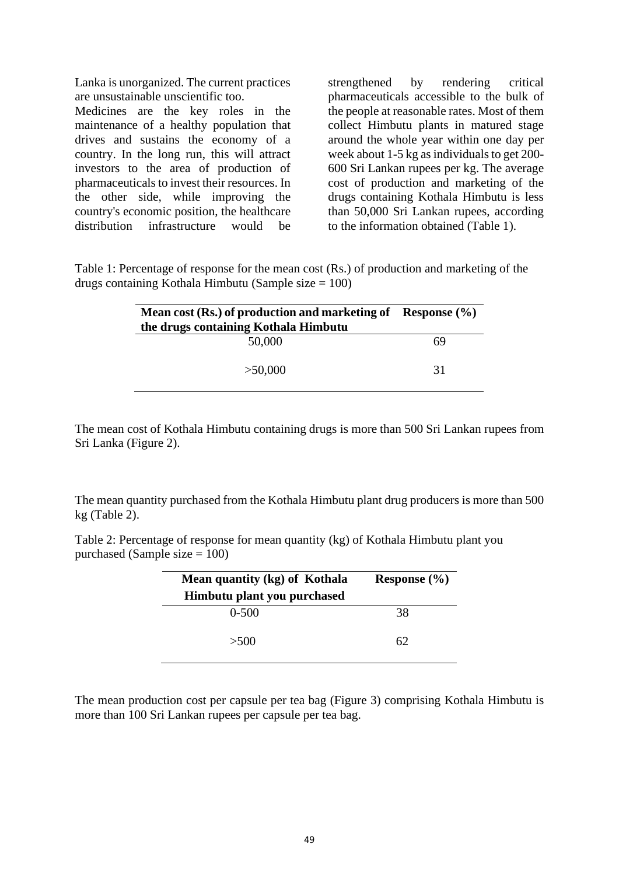Lanka is unorganized. The current practices are unsustainable unscientific too.

Medicines are the key roles in the maintenance of a healthy population that drives and sustains the economy of a country. In the long run, this will attract investors to the area of production of pharmaceuticals to invest their resources. In the other side, while improving the country's economic position, the healthcare distribution infrastructure would be strengthened by rendering critical pharmaceuticals accessible to the bulk of the people at reasonable rates. Most of them collect Himbutu plants in matured stage around the whole year within one day per week about 1-5 kg as individuals to get 200- 600 Sri Lankan rupees per kg. The average cost of production and marketing of the drugs containing Kothala Himbutu is less than 50,000 Sri Lankan rupees, according to the information obtained (Table 1).

Table 1: Percentage of response for the mean cost (Rs.) of production and marketing of the drugs containing Kothala Himbutu (Sample size = 100)

| Mean cost (Rs.) of production and marketing of Response $(\%)$<br>the drugs containing Kothala Himbutu |    |
|--------------------------------------------------------------------------------------------------------|----|
| 50,000                                                                                                 | 69 |
| >50,000                                                                                                | 31 |

The mean cost of Kothala Himbutu containing drugs is more than 500 Sri Lankan rupees from Sri Lanka (Figure 2).

The mean quantity purchased from the Kothala Himbutu plant drug producers is more than 500 kg (Table 2).

Table 2: Percentage of response for mean quantity (kg) of Kothala Himbutu plant you purchased (Sample size  $= 100$ )

| Mean quantity (kg) of Kothala | Response $(\% )$ |
|-------------------------------|------------------|
| Himbutu plant you purchased   |                  |
| $0-500$                       | 38               |
| >500                          | 62               |

The mean production cost per capsule per tea bag (Figure 3) comprising Kothala Himbutu is more than 100 Sri Lankan rupees per capsule per tea bag.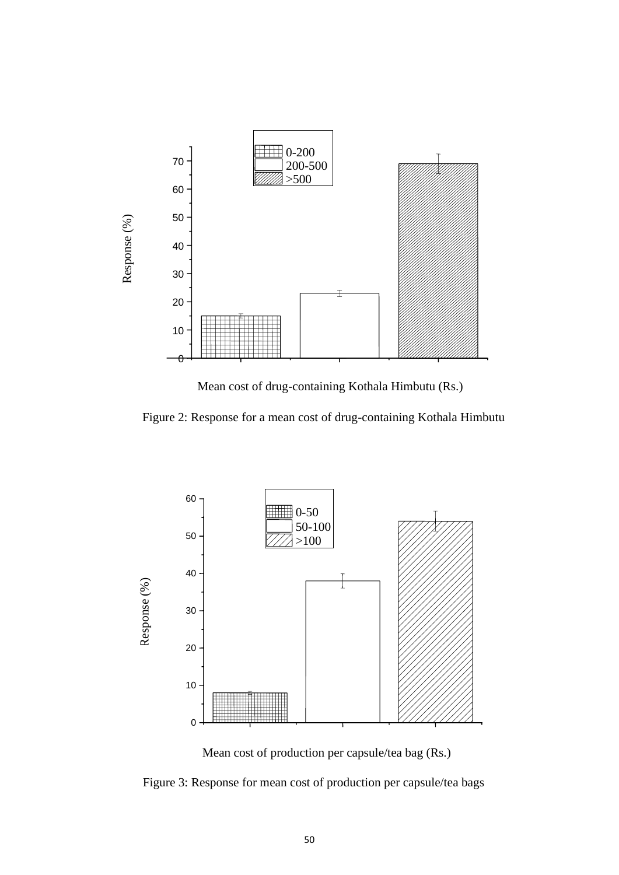

Mean cost of drug-containing Kothala Himbutu (Rs.)

Figure 2: Response for a mean cost of drug-containing Kothala Himbutu



Mean cost of production per capsule/tea bag (Rs.)

Figure 3: Response for mean cost of production per capsule/tea bags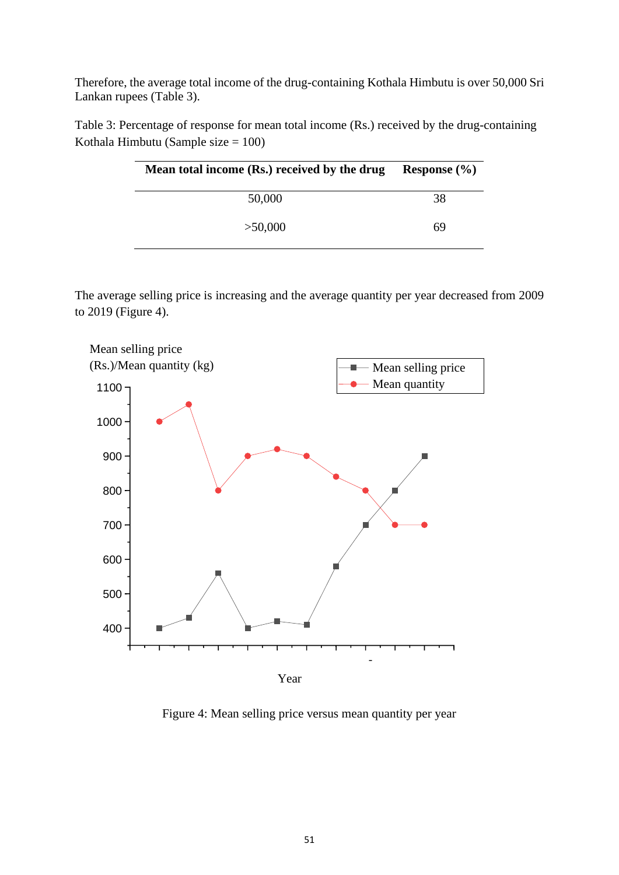Therefore, the average total income of the drug-containing Kothala Himbutu is over 50,000 Sri Lankan rupees (Table 3).

Table 3: Percentage of response for mean total income (Rs.) received by the drug-containing Kothala Himbutu (Sample size  $= 100$ )

| Mean total income (Rs.) received by the drug | Response $(\% )$ |
|----------------------------------------------|------------------|
| 50,000                                       | 38               |
| >50,000                                      | 69               |

The average selling price is increasing and the average quantity per year decreased from 2009 to 2019 (Figure 4).



Figure 4: Mean selling price versus mean quantity per year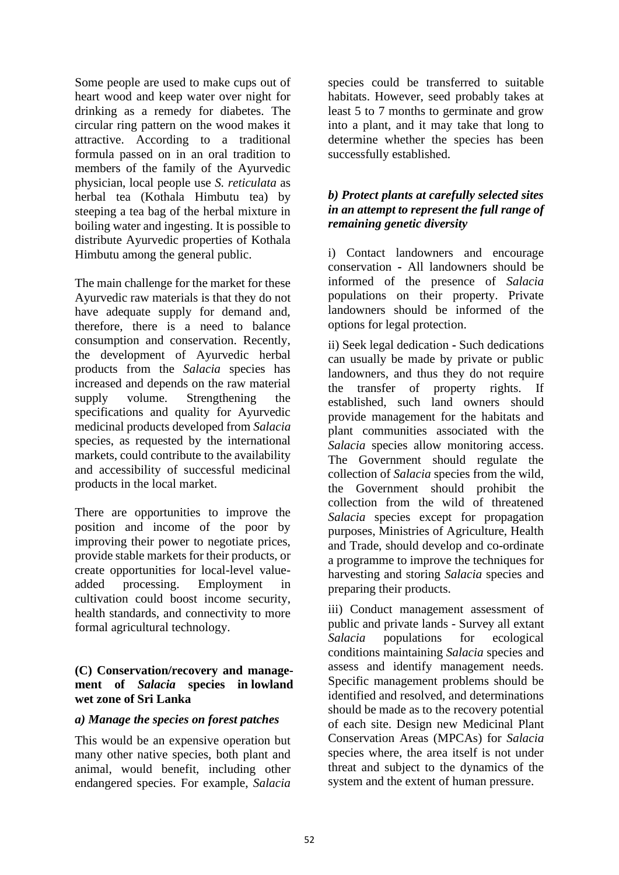Some people are used to make cups out of heart wood and keep water over night for drinking as a remedy for diabetes. The circular ring pattern on the wood makes it attractive. According to a traditional formula passed on in an oral tradition to members of the family of the Ayurvedic physician, local people use *S. reticulata* as herbal tea (Kothala Himbutu tea) by steeping a tea bag of the herbal mixture in boiling water and ingesting. It is possible to distribute Ayurvedic properties of Kothala Himbutu among the general public.

The main challenge for the market for these Ayurvedic raw materials is that they do not have adequate supply for demand and, therefore, there is a need to balance consumption and conservation. Recently, the development of Ayurvedic herbal products from the *Salacia* species has increased and depends on the raw material supply volume. Strengthening the specifications and quality for Ayurvedic medicinal products developed from *Salacia* species, as requested by the international markets, could contribute to the availability and accessibility of successful medicinal products in the local market.

There are opportunities to improve the position and income of the poor by improving their power to negotiate prices, provide stable markets for their products, or create opportunities for local-level valueadded processing. Employment in cultivation could boost income security, health standards, and connectivity to more formal agricultural technology.

### **(C) Conservation/recovery and management of** *Salacia* **species in lowland wet zone of Sri Lanka**

#### *a) Manage the species on forest patches*

This would be an expensive operation but many other native species, both plant and animal, would benefit, including other endangered species. For example, *Salacia* species could be transferred to suitable habitats. However, seed probably takes at least 5 to 7 months to germinate and grow into a plant, and it may take that long to determine whether the species has been successfully established.

### *b) Protect plants at carefully selected sites in an attempt to represent the full range of remaining genetic diversity*

i) Contact landowners and encourage conservation **-** All landowners should be informed of the presence of *Salacia* populations on their property. Private landowners should be informed of the options for legal protection.

ii) Seek legal dedication **-** Such dedications can usually be made by private or public landowners, and thus they do not require the transfer of property rights. If established, such land owners should provide management for the habitats and plant communities associated with the *Salacia* species allow monitoring access. The Government should regulate the collection of *Salacia* species from the wild, the Government should prohibit the collection from the wild of threatened *Salacia* species except for propagation purposes, Ministries of Agriculture, Health and Trade, should develop and co-ordinate a programme to improve the techniques for harvesting and storing *Salacia* species and preparing their products.

iii) Conduct management assessment of public and private lands - Survey all extant *Salacia* populations for ecological conditions maintaining *Salacia* species and assess and identify management needs. Specific management problems should be identified and resolved, and determinations should be made as to the recovery potential of each site. Design new Medicinal Plant Conservation Areas (MPCAs) for *Salacia* species where, the area itself is not under threat and subject to the dynamics of the system and the extent of human pressure.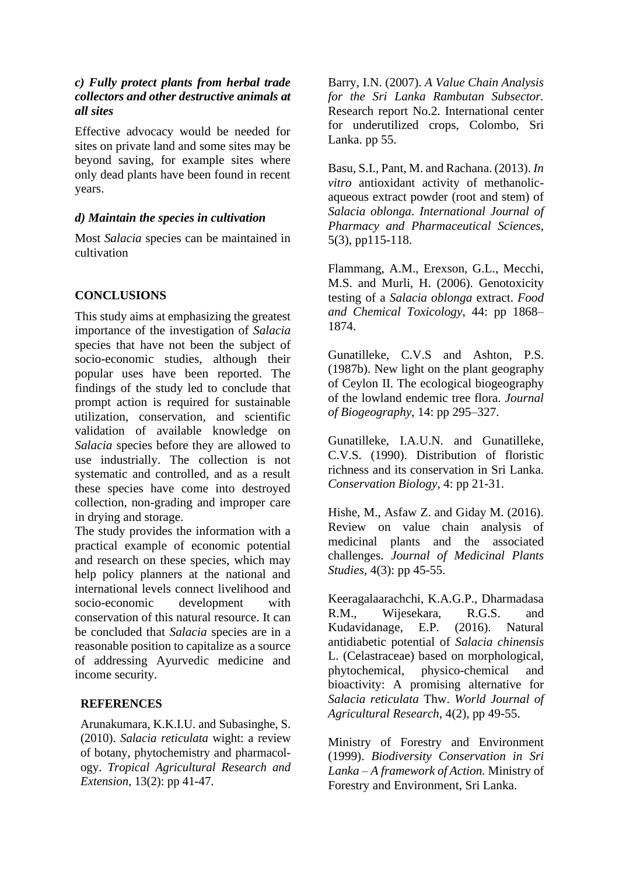### *c) Fully protect plants from herbal trade collectors and other destructive animals at all sites*

Effective advocacy would be needed for sites on private land and some sites may be beyond saving, for example sites where only dead plants have been found in recent years.

### *d) Maintain the species in cultivation*

Most *Salacia* species can be maintained in cultivation

### **CONCLUSIONS**

This study aims at emphasizing the greatest importance of the investigation of *Salacia* species that have not been the subject of socio-economic studies, although their popular uses have been reported. The findings of the study led to conclude that prompt action is required for sustainable utilization, conservation, and scientific validation of available knowledge on *Salacia* species before they are allowed to use industrially. The collection is not systematic and controlled, and as a result these species have come into destroyed collection, non-grading and improper care in drying and storage.

The study provides the information with a practical example of economic potential and research on these species, which may help policy planners at the national and international levels connect livelihood and socio-economic development with conservation of this natural resource. It can be concluded that *Salacia* species are in a reasonable position to capitalize as a source of addressing Ayurvedic medicine and income security.

### **REFERENCES**

Arunakumara, K.K.I.U. and Subasinghe, S. (2010). *Salacia reticulata* wight: a review of botany, phytochemistry and pharmacology. *Tropical Agricultural Research and Extension*, 13(2): pp 41-47.

Barry, I.N. (2007). *A Value Chain Analysis for the Sri Lanka Rambutan Subsector.*  Research report No.2. International center for underutilized crops, Colombo, Sri Lanka. pp 55.

Basu, S.I., Pant, M. and Rachana. (2013). *In vitro* antioxidant activity of methanolicaqueous extract powder (root and stem) of *Salacia oblonga*. *International Journal of Pharmacy and Pharmaceutical Sciences*, 5(3), pp115-118.

Flammang, A.M., Erexson, G.L., Mecchi, M.S. and Murli, H. (2006). Genotoxicity testing of a *Salacia oblonga* extract. *Food and Chemical Toxicology*, 44: pp 1868– 1874.

Gunatilleke, C.V.S and Ashton, P.S. (1987b). New light on the plant geography of Ceylon II. The ecological biogeography of the lowland endemic tree flora. *Journal of Biogeography*, 14: pp 295–327.

Gunatilleke, I.A.U.N. and Gunatilleke, C.V.S. (1990). Distribution of floristic richness and its conservation in Sri Lanka. *Conservation Biology*, 4: pp 21-31.

Hishe, M., Asfaw Z. and Giday M. (2016). Review on value chain analysis of medicinal plants and the associated challenges. *Journal of Medicinal Plants Studies*, 4(3): pp 45-55.

Keeragalaarachchi, K.A.G.P., Dharmadasa R.M., Wijesekara, R.G.S. and Kudavidanage, E.P. (2016). Natural antidiabetic potential of *Salacia chinensis* L. (Celastraceae) based on morphological, phytochemical, physico-chemical and bioactivity: A promising alternative for *Salacia reticulata* Thw. *World Journal of Agricultural Research*, 4(2), pp 49-55.

Ministry of Forestry and Environment (1999). *Biodiversity Conservation in Sri Lanka – A framework of Action.* Ministry of Forestry and Environment, Sri Lanka.